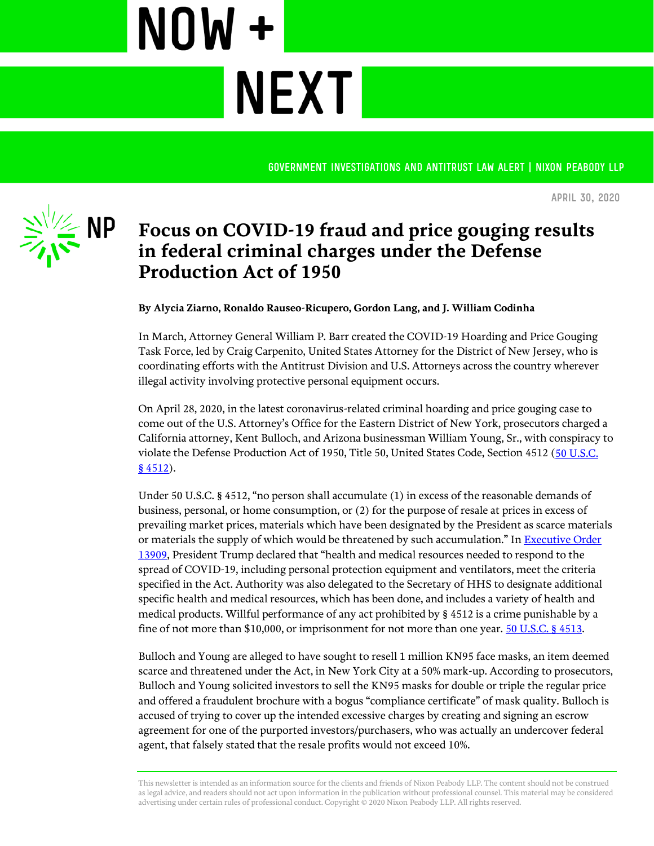**GOVERNMENT INVESTIGATIONS AND ANTITRUST law alert | Nixon peabody LLP**

**April 30, 2020**



NOW +

## **Focus on COVID-19 fraud and price gouging results in federal criminal charges under the Defense Production Act of 1950**

**By Alycia Ziarno, Ronaldo Rauseo-Ricupero, Gordon Lang, and J. William Codinha**

**NEXT** 

In March, Attorney General William P. Barr created the COVID-19 Hoarding and Price Gouging Task Force, led by Craig Carpenito, United States Attorney for the District of New Jersey, who is coordinating efforts with the Antitrust Division and U.S. Attorneys across the country wherever illegal activity involving protective personal equipment occurs.

On April 28, 2020, in the latest coronavirus-related criminal hoarding and price gouging case to come out of the U.S. Attorney's Office for the Eastern District of New York, prosecutors charged a California attorney, Kent Bulloch, and Arizona businessman William Young, Sr., with conspiracy to violate the Defense Production Act of 1950, Title 50, United States Code, Section 4512 (50 U.S.C.  $§ 4512$ ).

Under 50 U.S.C. § 4512, "no person shall accumulate (1) in excess of the reasonable demands of business, personal, or home consumption, or (2) for the purpose of resale at prices in excess of prevailing market prices, materials which have been designated by the President as scarce materials or materials the supply of which would be threatened by such accumulation." In Executive Order [13909,](https://www.govinfo.gov/content/pkg/FR-2020-03-23/pdf/2020-06161.pdf) President Trump declared that "health and medical resources needed to respond to the spread of COVID-19, including personal protection equipment and ventilators, meet the criteria specified in the Act. Authority was also delegated to the Secretary of HHS to designate additional specific health and medical resources, which has been done, and includes a variety of health and medical products. Willful performance of any act prohibited by § 4512 is a crime punishable by a fine of not more than \$10,000, or imprisonment for not more than one year. **50 U.S.C.** § 4513.

Bulloch and Young are alleged to have sought to resell 1 million KN95 face masks, an item deemed scarce and threatened under the Act, in New York City at a 50% mark-up. According to prosecutors, Bulloch and Young solicited investors to sell the KN95 masks for double or triple the regular price and offered a fraudulent brochure with a bogus "compliance certificate" of mask quality. Bulloch is accused of trying to cover up the intended excessive charges by creating and signing an escrow agreement for one of the purported investors/purchasers, who was actually an undercover federal agent, that falsely stated that the resale profits would not exceed 10%.

This newsletter is intended as an information source for the clients and friends of Nixon Peabody LLP. The content should not be construed as legal advice, and readers should not act upon information in the publication without professional counsel. This material may be considered advertising under certain rules of professional conduct. Copyright © 2020 Nixon Peabody LLP. All rights reserved.